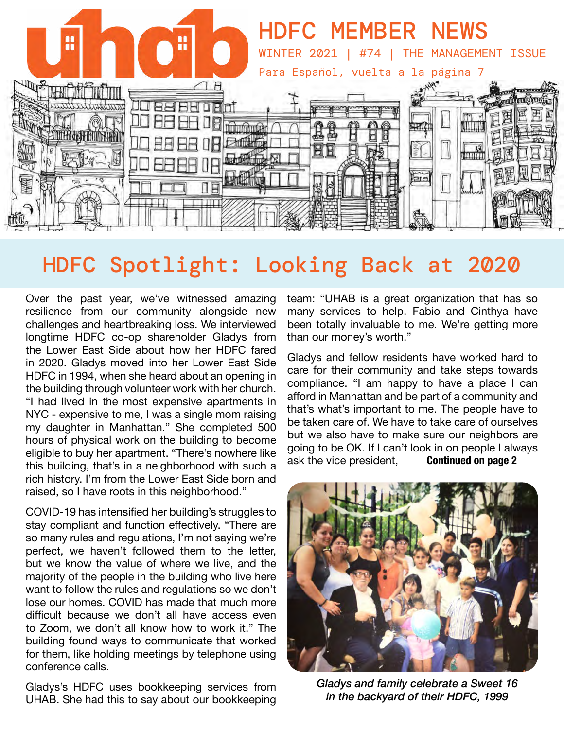

# HDFC Spotlight: Looking Back at 2020

Over the past year, we've witnessed amazing resilience from our community alongside new challenges and heartbreaking loss. We interviewed longtime HDFC co-op shareholder Gladys from the Lower East Side about how her HDFC fared in 2020. Gladys moved into her Lower East Side HDFC in 1994, when she heard about an opening in the building through volunteer work with her church. "I had lived in the most expensive apartments in NYC - expensive to me, I was a single mom raising my daughter in Manhattan." She completed 500 hours of physical work on the building to become eligible to buy her apartment. "There's nowhere like this building, that's in a neighborhood with such a rich history. I'm from the Lower East Side born and raised, so I have roots in this neighborhood."

COVID-19 has intensified her building's struggles to stay compliant and function effectively. "There are so many rules and regulations, I'm not saying we're perfect, we haven't followed them to the letter, but we know the value of where we live, and the majority of the people in the building who live here want to follow the rules and regulations so we don't lose our homes. COVID has made that much more difficult because we don't all have access even to Zoom, we don't all know how to work it." The building found ways to communicate that worked for them, like holding meetings by telephone using conference calls.

Gladys's HDFC uses bookkeeping services from UHAB. She had this to say about our bookkeeping

team: "UHAB is a great organization that has so many services to help. Fabio and Cinthya have been totally invaluable to me. We're getting more than our money's worth."

Gladys and fellow residents have worked hard to care for their community and take steps towards compliance. "I am happy to have a place I can afford in Manhattan and be part of a community and that's what's important to me. The people have to be taken care of. We have to take care of ourselves but we also have to make sure our neighbors are going to be OK. If I can't look in on people I always<br>ask the vice president, **Continued on page 2** ask the vice president,



*Gladys and family celebrate a Sweet 16 in the backyard of their HDFC, 1999*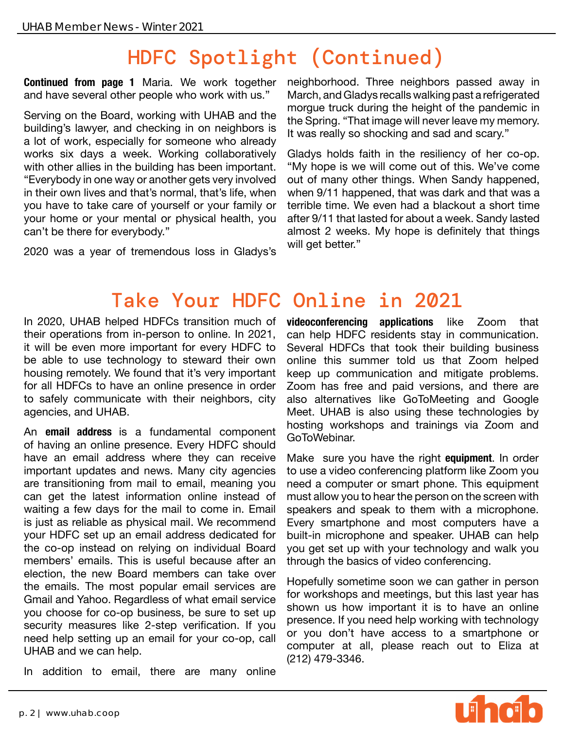# HDFC Spotlight (Continued)

**Continued from page 1** Maria. We work together and have several other people who work with us."

Serving on the Board, working with UHAB and the building's lawyer, and checking in on neighbors is a lot of work, especially for someone who already works six days a week. Working collaboratively with other allies in the building has been important. "Everybody in one way or another gets very involved in their own lives and that's normal, that's life, when you have to take care of yourself or your family or your home or your mental or physical health, you can't be there for everybody."

2020 was a year of tremendous loss in Gladys's

neighborhood. Three neighbors passed away in March, and Gladys recalls walking past a refrigerated morgue truck during the height of the pandemic in the Spring. "That image will never leave my memory. It was really so shocking and sad and scary."

Gladys holds faith in the resiliency of her co-op. "My hope is we will come out of this. We've come out of many other things. When Sandy happened, when 9/11 happened, that was dark and that was a terrible time. We even had a blackout a short time after 9/11 that lasted for about a week. Sandy lasted almost 2 weeks. My hope is definitely that things will get better."

## Take Your HDFC Online in 2021

In 2020, UHAB helped HDFCs transition much of their operations from in-person to online. In 2021, it will be even more important for every HDFC to be able to use technology to steward their own housing remotely. We found that it's very important for all HDFCs to have an online presence in order to safely communicate with their neighbors, city agencies, and UHAB.

An **email address** is a fundamental component of having an online presence. Every HDFC should have an email address where they can receive important updates and news. Many city agencies are transitioning from mail to email, meaning you can get the latest information online instead of waiting a few days for the mail to come in. Email is just as reliable as physical mail. We recommend your HDFC set up an email address dedicated for the co-op instead on relying on individual Board members' emails. This is useful because after an election, the new Board members can take over the emails. The most popular email services are Gmail and Yahoo. Regardless of what email service you choose for co-op business, be sure to set up security measures like 2-step verification. If you need help setting up an email for your co-op, call UHAB and we can help.

In addition to email, there are many online

**videoconferencing applications** like Zoom that can help HDFC residents stay in communication. Several HDFCs that took their building business online this summer told us that Zoom helped keep up communication and mitigate problems. Zoom has free and paid versions, and there are also alternatives like GoToMeeting and Google Meet. UHAB is also using these technologies by hosting workshops and trainings via Zoom and GoToWebinar.

Make sure you have the right **equipment**. In order to use a video conferencing platform like Zoom you need a computer or smart phone. This equipment must allow you to hear the person on the screen with speakers and speak to them with a microphone. Every smartphone and most computers have a built-in microphone and speaker. UHAB can help you get set up with your technology and walk you through the basics of video conferencing.

Hopefully sometime soon we can gather in person for workshops and meetings, but this last year has shown us how important it is to have an online presence. If you need help working with technology or you don't have access to a smartphone or computer at all, please reach out to Eliza at (212) 479-3346.

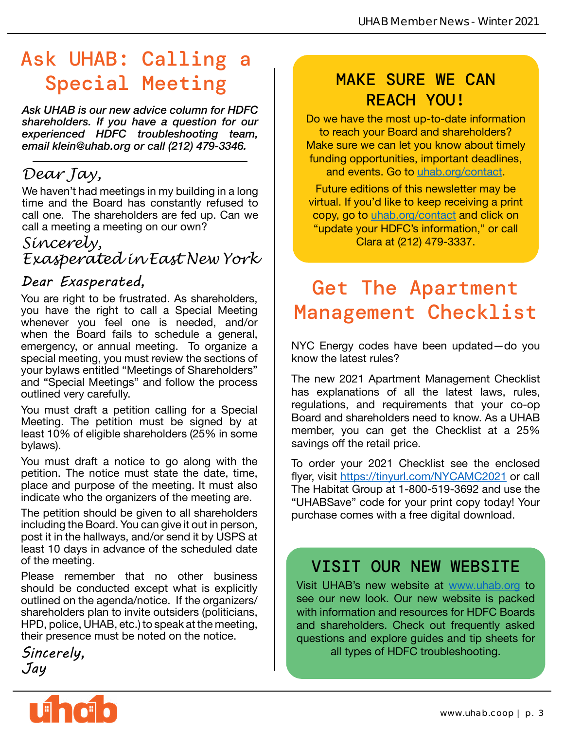## Ask UHAB: Calling a Special Meeting

*Ask UHAB is our new advice column for HDFC shareholders. If you have a question for our experienced HDFC troubleshooting team, email klein@uhab.org or call (212) 479-3346.*

### *Dear Jay,*

We haven't had meetings in my building in a long time and the Board has constantly refused to call one. The shareholders are fed up. Can we call a meeting a meeting on our own?

### *Sincerely, Exasperated in East New York*

### *Dear Exasperated,*

You are right to be frustrated. As shareholders, you have the right to call a Special Meeting whenever you feel one is needed, and/or when the Board fails to schedule a general, emergency, or annual meeting. To organize a special meeting, you must review the sections of your bylaws entitled "Meetings of Shareholders" and "Special Meetings" and follow the process outlined very carefully.

You must draft a petition calling for a Special Meeting. The petition must be signed by at least 10% of eligible shareholders (25% in some bylaws).

You must draft a notice to go along with the petition. The notice must state the date, time, place and purpose of the meeting. It must also indicate who the organizers of the meeting are.

The petition should be given to all shareholders including the Board. You can give it out in person, post it in the hallways, and/or send it by USPS at least 10 days in advance of the scheduled date of the meeting.

Please remember that no other business should be conducted except what is explicitly outlined on the agenda/notice. If the organizers/ shareholders plan to invite outsiders (politicians, HPD, police, UHAB, etc.) to speak at the meeting, their presence must be noted on the notice.

*Sincerely, Jay*

### MAKE SURE WE CAN REACH YOU!

Do we have the most up-to-date information to reach your Board and shareholders? Make sure we can let you know about timely funding opportunities, important deadlines, and events. Go to [uhab.org/contact](http://uhab.org/contact).

Future editions of this newsletter may be virtual. If you'd like to keep receiving a print copy, go to [uhab.org/contact](http://uhab.org/contact) and click on "update your HDFC's information," or call Clara at (212) 479-3337.

# Get The Apartment Management Checklist

NYC Energy codes have been updated—do you know the latest rules?

The new 2021 Apartment Management Checklist has explanations of all the latest laws, rules, regulations, and requirements that your co-op Board and shareholders need to know. As a UHAB member, you can get the Checklist at a 25% savings off the retail price.

To order your 2021 Checklist see the enclosed flyer, visit <https://tinyurl.com/NYCAMC2021> or call The Habitat Group at 1-800-519-3692 and use the "UHABSave" code for your print copy today! Your purchase comes with a free digital download.

### VISIT OUR NEW WEBSITE

Visit UHAB's new website at [www.uhab.org](http://www.uhab.org) to see our new look. Our new website is packed with information and resources for HDFC Boards and shareholders. Check out frequently asked questions and explore guides and tip sheets for all types of HDFC troubleshooting.

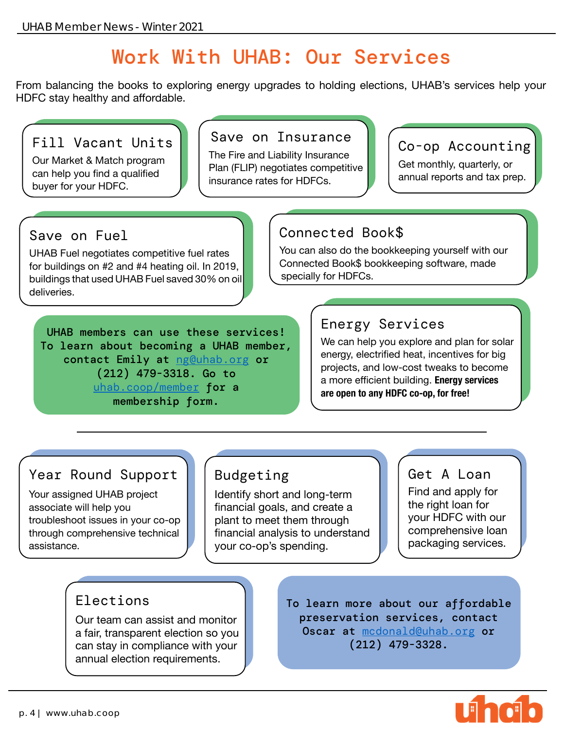## Work With UHAB: Our Services

From balancing the books to exploring energy upgrades to holding elections, UHAB's services help your HDFC stay healthy and affordable.

### Fill Vacant Units

Our Market & Match program can help you find a qualified buyer for your HDFC.

### Save on Insurance

The Fire and Liability Insurance Plan (FLIP) negotiates competitive insurance rates for HDFCs.

### Co-op Accounting

Get monthly, quarterly, or annual reports and tax prep.

#### Save on Fuel

UHAB Fuel negotiates competitive fuel rates for buildings on #2 and #4 heating oil. In 2019, buildings that used UHAB Fuel saved 30% on oil deliveries.

### Connected Book\$

You can also do the bookkeeping yourself with our Connected Book\$ bookkeeping software, made specially for HDFCs.

UHAB members can use these services! To learn about becoming a UHAB member, contact Emily at [ng@uhab.org](mailto:ng%40uhab.org%20?subject=) or (212) 479-3318. Go to [uhab.coop/member](http://uhab.coop/member) for a membership form.

### Energy Services

We can help you explore and plan for solar energy, electrified heat, incentives for big projects, and low-cost tweaks to become a more efficient building. **Energy services are open to any HDFC co-op, for free!**

### Year Round Support

Your assigned UHAB project associate will help you troubleshoot issues in your co-op through comprehensive technical assistance.

### Budgeting

Identify short and long-term financial goals, and create a plant to meet them through financial analysis to understand your co-op's spending.

#### Get A Loan

Find and apply for the right loan for your HDFC with our comprehensive loan packaging services.

### Elections

Our team can assist and monitor a fair, transparent election so you can stay in compliance with your annual election requirements.

To learn more about our affordable preservation services, contact Oscar at [mcdonald@uhab.org](mailto:mcdonald%40uhab.org?subject=) or (212) 479-3328.

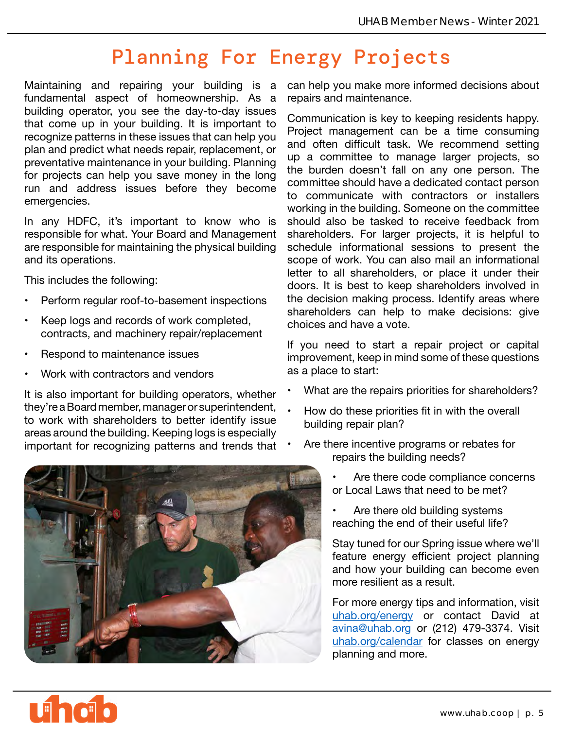# Planning For Energy Projects

Maintaining and repairing your building is a fundamental aspect of homeownership. As a building operator, you see the day-to-day issues that come up in your building. It is important to recognize patterns in these issues that can help you plan and predict what needs repair, replacement, or preventative maintenance in your building. Planning for projects can help you save money in the long run and address issues before they become emergencies.

In any HDFC, it's important to know who is responsible for what. Your Board and Management are responsible for maintaining the physical building and its operations.

This includes the following:

- Perform regular roof-to-basement inspections
- Keep logs and records of work completed, contracts, and machinery repair/replacement
- Respond to maintenance issues
- Work with contractors and vendors

It is also important for building operators, whether they're a Board member, manager or superintendent, to work with shareholders to better identify issue areas around the building. Keeping logs is especially important for recognizing patterns and trends that



can help you make more informed decisions about repairs and maintenance.

Communication is key to keeping residents happy. Project management can be a time consuming and often difficult task. We recommend setting up a committee to manage larger projects, so the burden doesn't fall on any one person. The committee should have a dedicated contact person to communicate with contractors or installers working in the building. Someone on the committee should also be tasked to receive feedback from shareholders. For larger projects, it is helpful to schedule informational sessions to present the scope of work. You can also mail an informational letter to all shareholders, or place it under their doors. It is best to keep shareholders involved in the decision making process. Identify areas where shareholders can help to make decisions: give choices and have a vote.

If you need to start a repair project or capital improvement, keep in mind some of these questions as a place to start:

- What are the repairs priorities for shareholders?
- How do these priorities fit in with the overall building repair plan?
- Are there incentive programs or rebates for repairs the building needs?
	- Are there code compliance concerns or Local Laws that need to be met?
	- Are there old building systems reaching the end of their useful life?

Stay tuned for our Spring issue where we'll feature energy efficient project planning and how your building can become even more resilient as a result.

For more energy tips and information, visit [uhab.org/energy](http://uhab.org/energy) or contact David at [avina@uhab.org](mailto:avina%40uhab.org?subject=) or (212) 479-3374. Visit [uhab.org/calendar](http://uhab.org/calendar) for classes on energy planning and more.

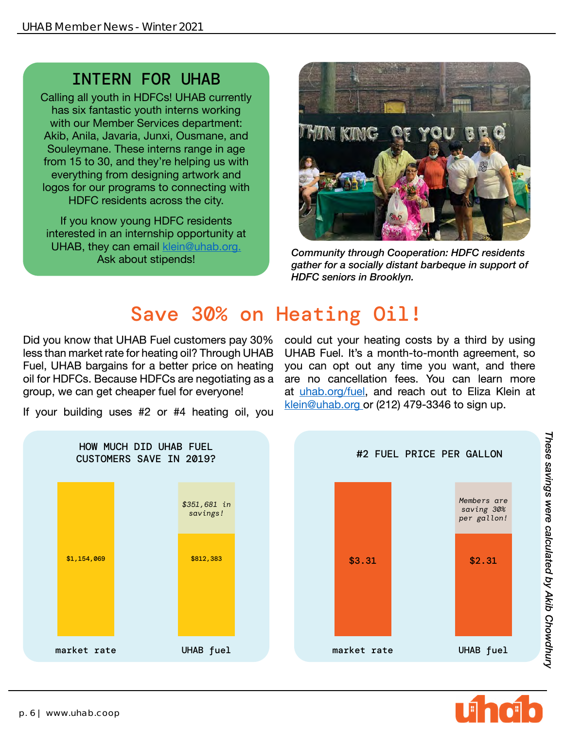## INTERN FOR UHAB

Calling all youth in HDFCs! UHAB currently has six fantastic youth interns working with our Member Services department: Akib, Anila, Javaria, Junxi, Ousmane, and Souleymane. These interns range in age from 15 to 30, and they're helping us with everything from designing artwork and logos for our programs to connecting with HDFC residents across the city.

If you know young HDFC residents interested in an internship opportunity at UHAB, they can email klein@uhab.org.



Ask about stipends! *Community through Cooperation: HDFC residents gather for a socially distant barbeque in support of HDFC seniors in Brooklyn.*

## Save 30% on Heating Oil!

Did you know that UHAB Fuel customers pay 30% less than market rate for heating oil? Through UHAB Fuel, UHAB bargains for a better price on heating oil for HDFCs. Because HDFCs are negotiating as a group, we can get cheaper fuel for everyone!

If your building uses #2 or #4 heating oil, you





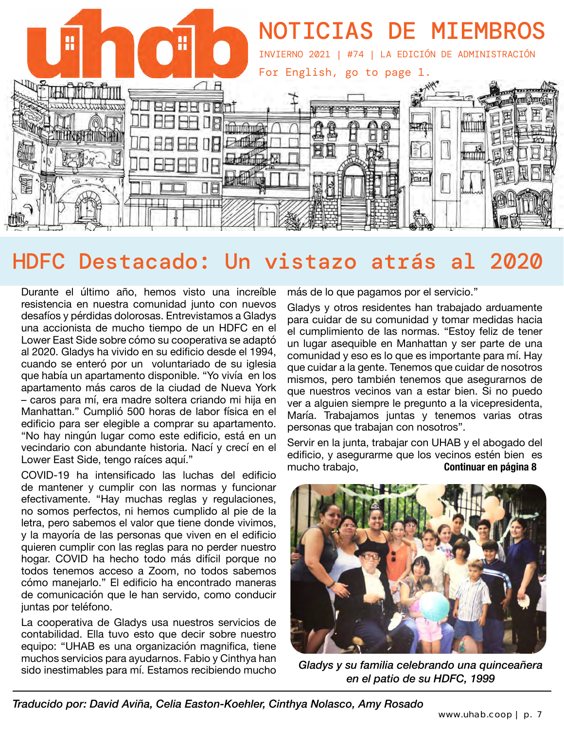

# HDFC Destacado: Un vistazo atrás al 2020

Durante el último año, hemos visto una increíble resistencia en nuestra comunidad junto con nuevos desafíos y pérdidas dolorosas. Entrevistamos a Gladys una accionista de mucho tiempo de un HDFC en el Lower East Side sobre cómo su cooperativa se adaptó al 2020. Gladys ha vivido en su edificio desde el 1994, cuando se enteró por un voluntariado de su iglesia que había un apartamento disponible. "Yo vivía en los apartamento más caros de la ciudad de Nueva York – caros para mí, era madre soltera criando mi hija en Manhattan." Cumplió 500 horas de labor física en el edificio para ser elegible a comprar su apartamento. "No hay ningún lugar como este edificio, está en un vecindario con abundante historia. Nací y crecí en el Lower East Side, tengo raíces aquí."

COVID-19 ha intensificado las luchas del edificio de mantener y cumplir con las normas y funcionar efectivamente. "Hay muchas reglas y regulaciones, no somos perfectos, ni hemos cumplido al pie de la letra, pero sabemos el valor que tiene donde vivimos, y la mayoría de las personas que viven en el edificio quieren cumplir con las reglas para no perder nuestro hogar. COVID ha hecho todo más difícil porque no todos tenemos acceso a Zoom, no todos sabemos cómo manejarlo." El edificio ha encontrado maneras de comunicación que le han servido, como conducir juntas por teléfono.

La cooperativa de Gladys usa nuestros servicios de contabilidad. Ella tuvo esto que decir sobre nuestro equipo: "UHAB es una organización magnifica, tiene muchos servicios para ayudarnos. Fabio y Cinthya han sido inestimables para mí. Estamos recibiendo mucho más de lo que pagamos por el servicio."

Gladys y otros residentes han trabajado arduamente para cuidar de su comunidad y tomar medidas hacia el cumplimiento de las normas. "Estoy feliz de tener un lugar asequible en Manhattan y ser parte de una comunidad y eso es lo que es importante para mí. Hay que cuidar a la gente. Tenemos que cuidar de nosotros mismos, pero también tenemos que asegurarnos de que nuestros vecinos van a estar bien. Si no puedo ver a alguien siempre le pregunto a la vicepresidenta, María. Trabajamos juntas y tenemos varias otras personas que trabajan con nosotros".

Servir en la junta, trabajar con UHAB y el abogado del edificio, y asegurarme que los vecinos estén bien es mucho trabajo, **Continuar en página 8**



*Gladys y su familia celebrando una quinceañera en el patio de su HDFC, 1999*

*Traducido por: David Aviña, Celia Easton-Koehler, Cinthya Nolasco, Amy Rosado*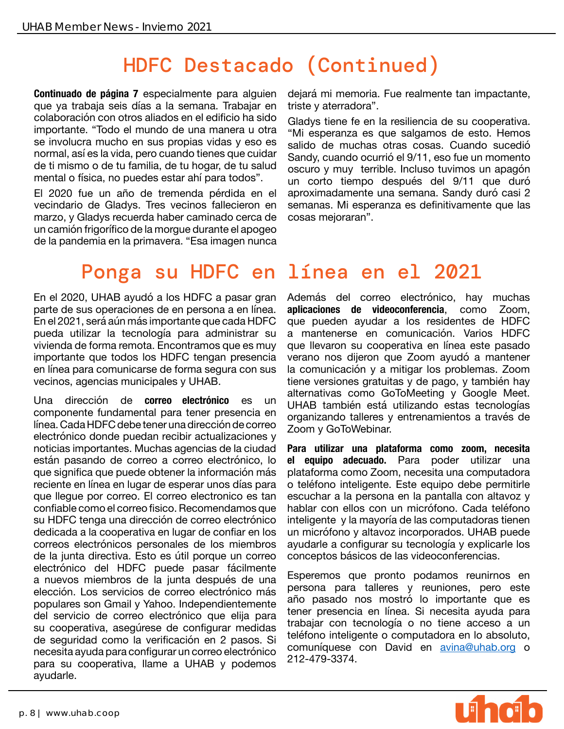# HDFC Destacado (Continued)

**Continuado de página 7** especialmente para alguien que ya trabaja seis días a la semana. Trabajar en colaboración con otros aliados en el edificio ha sido importante. "Todo el mundo de una manera u otra se involucra mucho en sus propias vidas y eso es normal, así es la vida, pero cuando tienes que cuidar de ti mismo o de tu familia, de tu hogar, de tu salud mental o física, no puedes estar ahí para todos".

El 2020 fue un año de tremenda pérdida en el vecindario de Gladys. Tres vecinos fallecieron en marzo, y Gladys recuerda haber caminado cerca de un camión frigorífico de la morgue durante el apogeo de la pandemia en la primavera. "Esa imagen nunca dejará mi memoria. Fue realmente tan impactante, triste y aterradora".

Gladys tiene fe en la resiliencia de su cooperativa. "Mi esperanza es que salgamos de esto. Hemos salido de muchas otras cosas. Cuando sucedió Sandy, cuando ocurrió el 9/11, eso fue un momento oscuro y muy terrible. Incluso tuvimos un apagón un corto tiempo después del 9/11 que duró aproximadamente una semana. Sandy duró casi 2 semanas. Mi esperanza es definitivamente que las cosas mejoraran".

## Ponga su HDFC en línea en el 2021

En el 2020, UHAB ayudó a los HDFC a pasar gran parte de sus operaciones de en persona a en línea. En el 2021, será aún más importante que cada HDFC pueda utilizar la tecnología para administrar su vivienda de forma remota. Encontramos que es muy importante que todos los HDFC tengan presencia en línea para comunicarse de forma segura con sus vecinos, agencias municipales y UHAB.

Una dirección de **correo electrónico** es un componente fundamental para tener presencia en línea. Cada HDFC debe tener una dirección de correo electrónico donde puedan recibir actualizaciones y noticias importantes. Muchas agencias de la ciudad están pasando de correo a correo electrónico, lo que significa que puede obtener la información más reciente en línea en lugar de esperar unos días para que llegue por correo. El correo electronico es tan confiable como el correo fisico. Recomendamos que su HDFC tenga una dirección de correo electrónico dedicada a la cooperativa en lugar de confiar en los correos electrónicos personales de los miembros de la junta directiva. Esto es útil porque un correo electrónico del HDFC puede pasar fácilmente a nuevos miembros de la junta después de una elección. Los servicios de correo electrónico más populares son Gmail y Yahoo. Independientemente del servicio de correo electrónico que elija para su cooperativa, asegúrese de configurar medidas de seguridad como la verificación en 2 pasos. Si necesita ayuda para configurar un correo electrónico para su cooperativa, llame a UHAB y podemos ayudarle.

Además del correo electrónico, hay muchas **aplicaciones de videoconferencia**, como Zoom, que pueden ayudar a los residentes de HDFC a mantenerse en comunicación. Varios HDFC que llevaron su cooperativa en línea este pasado verano nos dijeron que Zoom ayudó a mantener la comunicación y a mitigar los problemas. Zoom tiene versiones gratuitas y de pago, y también hay alternativas como GoToMeeting y Google Meet. UHAB también está utilizando estas tecnologías organizando talleres y entrenamientos a través de Zoom y GoToWebinar.

**Para utilizar una plataforma como zoom, necesita el equipo adecuado.** Para poder utilizar una plataforma como Zoom, necesita una computadora o teléfono inteligente. Este equipo debe permitirle escuchar a la persona en la pantalla con altavoz y hablar con ellos con un micrófono. Cada teléfono inteligente y la mayoría de las computadoras tienen un micrófono y altavoz incorporados. UHAB puede ayudarle a configurar su tecnología y explicarle los conceptos básicos de las videoconferencias.

Esperemos que pronto podamos reunirnos en persona para talleres y reuniones, pero este año pasado nos mostró lo importante que es tener presencia en línea. Si necesita ayuda para trabajar con tecnología o no tiene acceso a un teléfono inteligente o computadora en lo absoluto, comuníquese con David en [avina@uhab.org](mailto:avina%40uhab.org?subject=) o 212-479-3374.

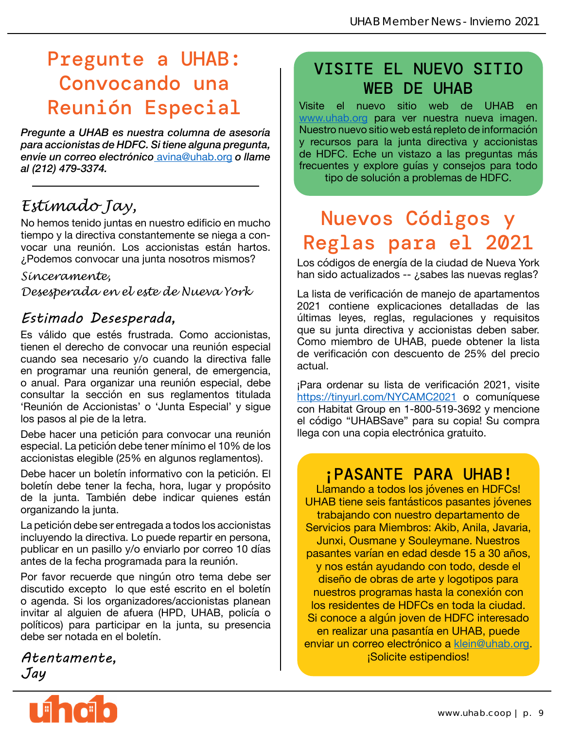## Pregunte a UHAB: Convocando una Reunión Especial

*Pregunte a UHAB es nuestra columna de asesoría para accionistas de HDFC. Si tiene alguna pregunta, envíe un correo electrónico* [avina@uhab.org](mailto:avina%40uhab.org?subject=) *o llame al (212) 479-3374.*

## *Estimado Jay,*

No hemos tenido juntas en nuestro edificio en mucho tiempo y la directiva constantemente se niega a convocar una reunión. Los accionistas están hartos. ¿Podemos convocar una junta nosotros mismos?

#### *Sinceramente,*

*Desesperada en el este de Nueva York*

### *Estimado Desesperada,*

Es válido que estés frustrada. Como accionistas, tienen el derecho de convocar una reunión especial cuando sea necesario y/o cuando la directiva falle en programar una reunión general, de emergencia, o anual. Para organizar una reunión especial, debe consultar la sección en sus reglamentos titulada 'Reunión de Accionistas' o 'Junta Especial' y sigue los pasos al pie de la letra.

Debe hacer una petición para convocar una reunión especial. La petición debe tener mínimo el 10% de los accionistas elegible (25% en algunos reglamentos).

Debe hacer un boletín informativo con la petición. El boletín debe tener la fecha, hora, lugar y propósito de la junta. También debe indicar quienes están organizando la junta.

La petición debe ser entregada a todos los accionistas incluyendo la directiva. Lo puede repartir en persona, publicar en un pasillo y/o enviarlo por correo 10 días antes de la fecha programada para la reunión.

Por favor recuerde que ningún otro tema debe ser discutido excepto lo que esté escrito en el boletín o agenda. Si los organizadores/accionistas planean invitar al alguien de afuera (HPD, UHAB, policía o políticos) para participar en la junta, su presencia debe ser notada en el boletín.

*Atentamente, Jay*

**Lihai** 

## VISITE EL NUEVO SITIO WEB DE UHAB

Visite el nuevo sitio web de UHAB en [www.uhab.org](http://www.uhab.org) para ver nuestra nueva imagen. Nuestro nuevo sitio web está repleto de información y recursos para la junta directiva y accionistas de HDFC. Eche un vistazo a las preguntas más frecuentes y explore guías y consejos para todo tipo de solución a problemas de HDFC.

# Nuevos Códigos y Reglas para el 2021

Los códigos de energía de la ciudad de Nueva York han sido actualizados -- ¿sabes las nuevas reglas?

La lista de verificación de manejo de apartamentos 2021 contiene explicaciones detalladas de las últimas leyes, reglas, regulaciones y requisitos que su junta directiva y accionistas deben saber. Como miembro de UHAB, puede obtener la lista de verificación con descuento de 25% del precio actual.

¡Para ordenar su lista de verificación 2021, visite <https://tinyurl.com/NYCAMC2021>o comuníquese con Habitat Group en 1-800-519-3692 y mencione el código "UHABSave" para su copia! Su compra llega con una copia electrónica gratuito.

### ¡PASANTE PARA UHAB!

Llamando a todos los jóvenes en HDFCs! UHAB tiene seis fantásticos pasantes jóvenes trabajando con nuestro departamento de Servicios para Miembros: Akib, Anila, Javaria, Junxi, Ousmane y Souleymane. Nuestros pasantes varían en edad desde 15 a 30 años, y nos están ayudando con todo, desde el diseño de obras de arte y logotipos para nuestros programas hasta la conexión con los residentes de HDFCs en toda la ciudad. Si conoce a algún joven de HDFC interesado en realizar una pasantía en UHAB, puede enviar un correo electrónico a [klein@uhab.org.](mailto:klein%40uhab.org?subject=) ¡Solicite estipendios!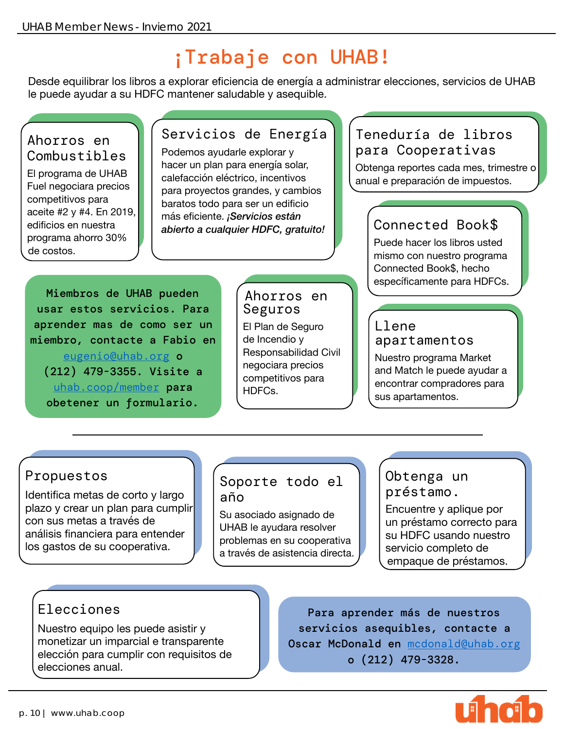# ¡Trabaje con UHAB!

Desde equilibrar los libros a explorar eficiencia de energía a administrar elecciones, servicios de UHAB le puede ayudar a su HDFC mantener saludable y asequible.

#### Ahorros en Combustibles

El programa de UHAB Fuel negociara precios competitivos para aceite #2 y #4. En 2019, edificios en nuestra programa ahorro 30% de costos.

### Servicios de Energía

Podemos ayudarle explorar y hacer un plan para energía solar, calefacción eléctrico, incentivos para proyectos grandes, y cambios baratos todo para ser un edificio más eficiente. *¡Servicios están abierto a cualquier HDFC, gratuito!*

### Teneduría de libros para Cooperativas

Obtenga reportes cada mes, trimestre o anual e preparación de impuestos.

### Connected Book\$

Puede hacer los libros usted mismo con nuestro programa Connected Book\$, hecho específicamente para HDFCs.

Miembros de UHAB pueden usar estos servicios. Para aprender mas de como ser un miembro, contacte a Fabio en [eugenio@uhab.org](mailto:eugenio%40uhab.org?subject=) o (212) 479-3355. Visite a [uhab.coop/member](http://uhab.coop/member) para obetener un formulario.

Ahorros en Seguros El Plan de Seguro de Incendio y Responsabilidad Civil negociara precios competitivos para HDFCs.

#### Llene apartamentos

Nuestro programa Market and Match le puede ayudar a encontrar compradores para sus apartamentos.

#### Propuestos

Identifica metas de corto y largo plazo y crear un plan para cumplir con sus metas a través de análisis financiera para entender los gastos de su cooperativa.

### Soporte todo el año

Su asociado asignado de UHAB le ayudara resolver problemas en su cooperativa a través de asistencia directa.

#### Obtenga un préstamo.

Encuentre y aplique por un préstamo correcto para su HDFC usando nuestro servicio completo de empaque de préstamos.

### Elecciones

Nuestro equipo les puede asistir y monetizar un imparcial e transparente elección para cumplir con requisitos de elecciones anual.

Para aprender más de nuestros servicios asequibles, contacte a Oscar McDonald en [mcdonald@uhab.org](mailto:mcdonald%40uhab.org?subject=) o (212) 479-3328.

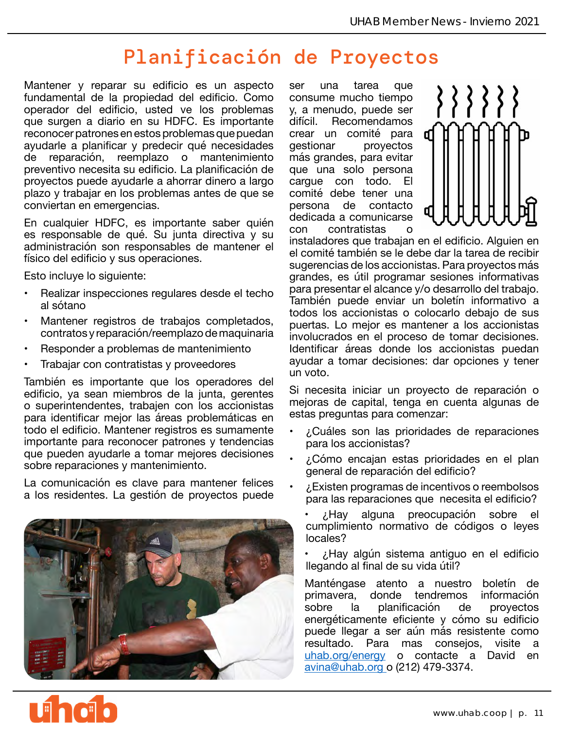# Planificación de Proyectos

Mantener y reparar su edificio es un aspecto fundamental de la propiedad del edificio. Como operador del edificio, usted ve los problemas que surgen a diario en su HDFC. Es importante reconocer patrones en estos problemas que puedan ayudarle a planificar y predecir qué necesidades<br>de reparación, reemplazo o mantenimiento reparación, reemplazo o mantenimiento preventivo necesita su edificio. La planificación de proyectos puede ayudarle a ahorrar dinero a largo plazo y trabajar en los problemas antes de que se conviertan en emergencias.

En cualquier HDFC, es importante saber quién es responsable de qué. Su junta directiva y su administración son responsables de mantener el físico del edificio y sus operaciones.

Esto incluye lo siguiente:

- Realizar inspecciones regulares desde el techo al sótano
- Mantener registros de trabajos completados, contratos y reparación/reemplazo de maquinaria
- Responder a problemas de mantenimiento
- Trabajar con contratistas y proveedores

También es importante que los operadores del edificio, ya sean miembros de la junta, gerentes o superintendentes, trabajen con los accionistas para identificar mejor las áreas problemáticas en todo el edificio. Mantener registros es sumamente importante para reconocer patrones y tendencias que pueden ayudarle a tomar mejores decisiones sobre reparaciones y mantenimiento.

La comunicación es clave para mantener felices a los residentes. La gestión de proyectos puede



ser una tarea que consume mucho tiempo y, a menudo, puede ser<br>difícil. Recomendamos **Recomendamos** crear un comité para gestionar proyectos más grandes, para evitar que una solo persona cargue con todo. El comité debe tener una<br>persona de contacto persona de dedicada a comunicarse con contratistas o



instaladores que trabajan en el edificio. Alguien en el comité también se le debe dar la tarea de recibir sugerencias de los accionistas. Para proyectos más grandes, es útil programar sesiones informativas para presentar el alcance y/o desarrollo del trabajo. También puede enviar un boletín informativo a todos los accionistas o colocarlo debajo de sus puertas. Lo mejor es mantener a los accionistas involucrados en el proceso de tomar decisiones. Identificar áreas donde los accionistas puedan ayudar a tomar decisiones: dar opciones y tener un voto.

Si necesita iniciar un proyecto de reparación o mejoras de capital, tenga en cuenta algunas de estas preguntas para comenzar:

- ¿Cuáles son las prioridades de reparaciones para los accionistas?
- ¿Cómo encajan estas prioridades en el plan general de reparación del edificio?
- ¿Existen programas de incentivos o reembolsos para las reparaciones que necesita el edificio?

• ¿Hay alguna preocupación sobre el cumplimiento normativo de códigos o leyes locales?

• ¿Hay algún sistema antiguo en el edificio llegando al final de su vida útil?

Manténgase atento a nuestro boletín de primavera, donde tendremos información<br>sobre la planificación de provectos la planificación de proyectos energéticamente eficiente y cómo su edificio puede llegar a ser aún más resistente como<br>resultado. Para mas conseios. visite a resultado. Para mas consejos, [uhab.org/energy](http://uhab.org/energy) o contacte a David en [avina@uhab.org o](mailto:avina%40uhab.org%20?subject=) (212) 479-3374.